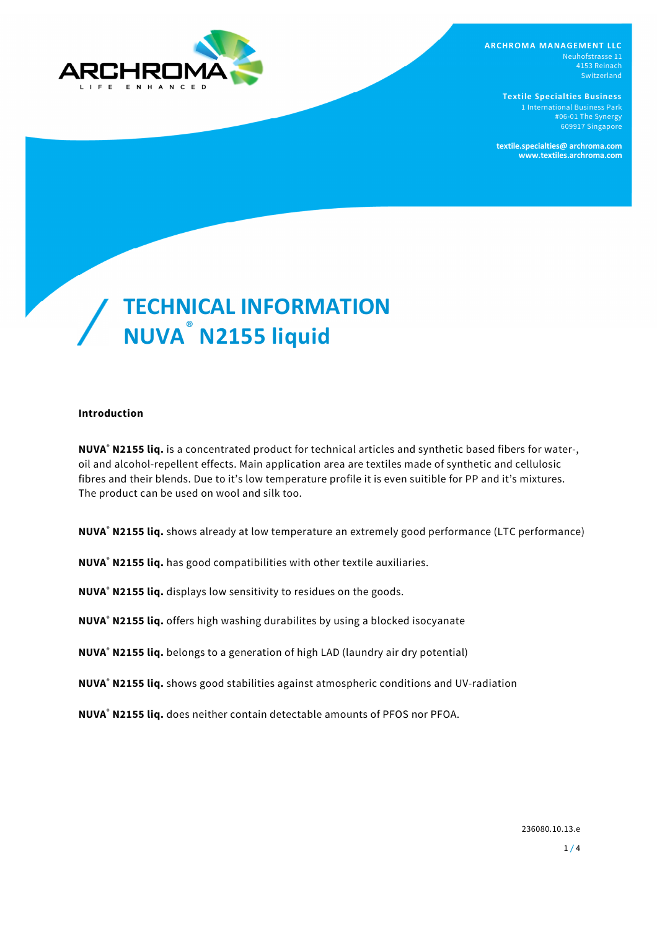

**ARCHROMA MANAGEMENT LLC** Neuhofstrasse 11 4153 Reinach Switzerland

> **Textile Specialties Business** #06-01 The Synergy 609917 Singapore

**textile.specialties@ archroma.com www.textiles.archroma.com**

# **TECHNICAL INFORMATION NUVA** ®  **N2155 liquid**

## **Introduction**

**NUVA® N2155 liq.** is a concentrated product for technical articles and synthetic based fibers for water-, oil and alcohol-repellent effects. Main application area are textiles made of synthetic and cellulosic fibres and their blends. Due to it's low temperature profile it is even suitible for PP and it's mixtures. The product can be used on wool and silk too.

**NUVA® N2155 liq.** shows already at low temperature an extremely good performance (LTC performance)

**NUVA® N2155 liq.** has good compatibilities with other textile auxiliaries.

**NUVA® N2155 liq.** displays low sensitivity to residues on the goods.

**NUVA® N2155 liq.** offers high washing durabilites by using a blocked isocyanate

**NUVA® N2155 liq.** belongs to a generation of high LAD (laundry air dry potential)

**NUVA® N2155 liq.** shows good stabilities against atmospheric conditions and UV-radiation

**NUVA® N2155 liq.** does neither contain detectable amounts of PFOS nor PFOA.

236080.10.13.e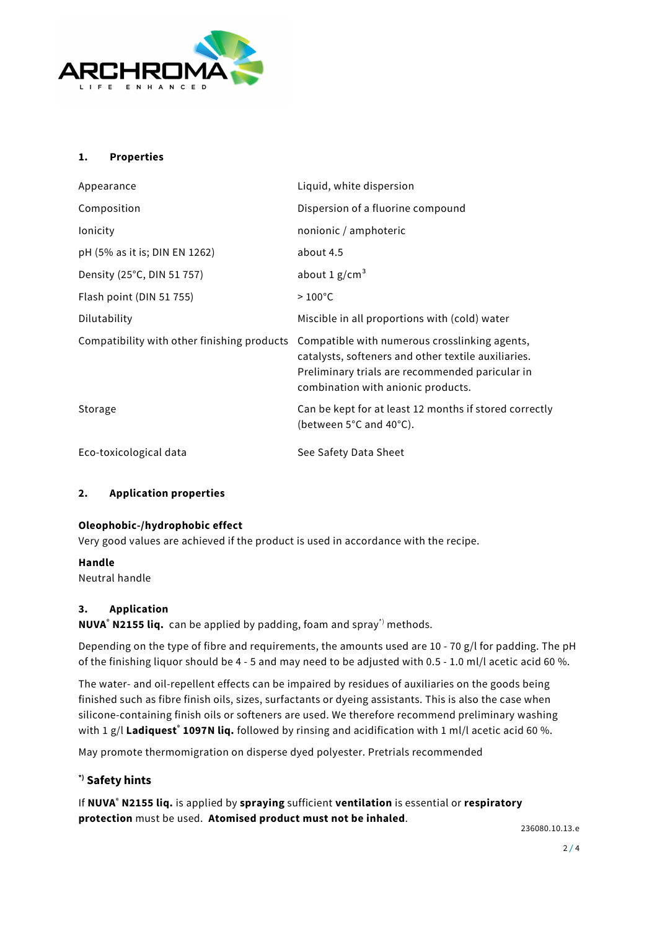

## **1. Properties**

| Appearance                                  | Liquid, white dispersion                                                                                                                                                                      |
|---------------------------------------------|-----------------------------------------------------------------------------------------------------------------------------------------------------------------------------------------------|
| Composition                                 | Dispersion of a fluorine compound                                                                                                                                                             |
| lonicity                                    | nonionic / amphoteric                                                                                                                                                                         |
| pH (5% as it is; DIN EN 1262)               | about 4.5                                                                                                                                                                                     |
| Density (25°C, DIN 51 757)                  | about 1 $g/cm3$                                                                                                                                                                               |
| Flash point (DIN 51 755)                    | $>100^{\circ}$ C                                                                                                                                                                              |
| Dilutability                                | Miscible in all proportions with (cold) water                                                                                                                                                 |
| Compatibility with other finishing products | Compatible with numerous crosslinking agents,<br>catalysts, softeners and other textile auxiliaries.<br>Preliminary trials are recommended paricular in<br>combination with anionic products. |
| Storage                                     | Can be kept for at least 12 months if stored correctly<br>(between 5°C and 40°C).                                                                                                             |
| Eco-toxicological data                      | See Safety Data Sheet                                                                                                                                                                         |

## **2. Application properties**

## **Oleophobic-/hydrophobic effect**

Very good values are achieved if the product is used in accordance with the recipe.

#### **Handle**

Neutral handle

## **3. Application**

**NUVA® N2155 liq.** can be applied by padding, foam and spray\*) methods.

Depending on the type of fibre and requirements, the amounts used are 10 - 70 g/l for padding. The pH of the finishing liquor should be 4 - 5 and may need to be adjusted with 0.5 - 1.0 ml/l acetic acid 60 %.

The water- and oil-repellent effects can be impaired by residues of auxiliaries on the goods being finished such as fibre finish oils, sizes, surfactants or dyeing assistants. This is also the case when silicone-containing finish oils or softeners are used. We therefore recommend preliminary washing with 1 g/l **Ladiquest® 1097N liq.** followed by rinsing and acidification with 1 ml/l acetic acid 60 %.

May promote thermomigration on disperse dyed polyester. Pretrials recommended

## **\*) Safety hints**

If **NUVA® N2155 liq.** is applied by **spraying** sufficient **ventilation** is essential or **respiratory protection** must be used. **Atomised product must not be inhaled**.

236080.10.13.e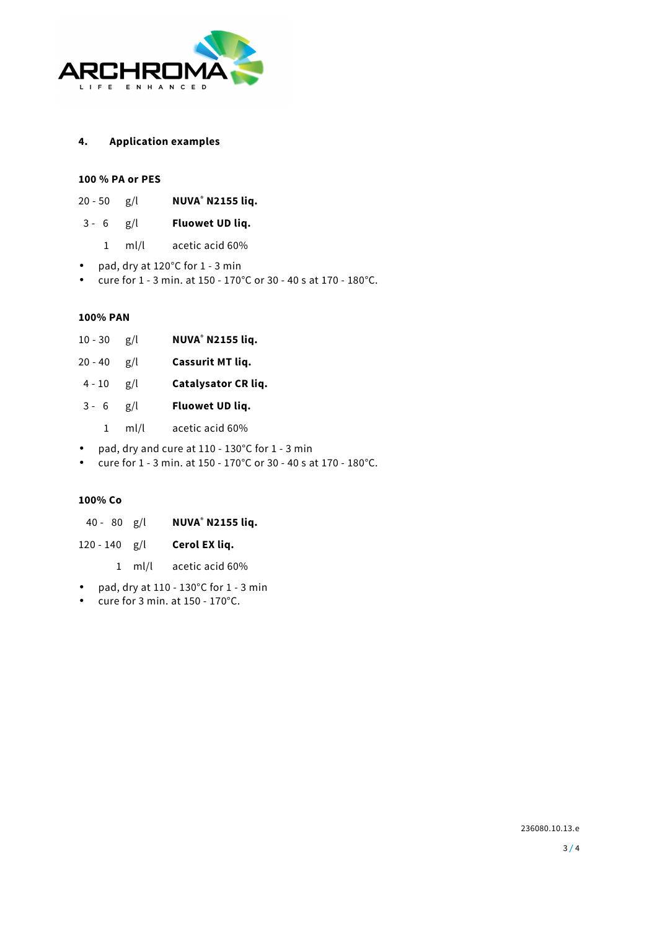

#### **4. Application examples**

#### **100 % PA or PES**

| 20 - 50 | g/l | <b>NUVA® N2155 liq.</b> |
|---------|-----|-------------------------|
|---------|-----|-------------------------|

## 3 - 6 g/l **Fluowet UD liq.**

- 1 ml/l acetic acid 60%
- pad, dry at 120°C for 1 3 min
- cure for 1 3 min. at 150 170°C or 30 40 s at 170 180°C.

#### **100% PAN**

- $10 30$   $g/l$  **N2155 liq.**
- 20 40 g/l **Cassurit MT liq.**
- 4 10 g/l **Catalysator CR liq.**
- 3 6 g/l **Fluowet UD liq.**
	- 1 ml/l acetic acid 60%
- pad, dry and cure at 110 130°C for 1 3 min
- cure for 1 3 min. at 150 170°C or 30 40 s at 170 180°C.

## **100% Co**

- 40 80 g/l **NUVA® N2155 liq.**
- 120 140 g/l **Cerol EX liq.** 
	- 1 ml/l acetic acid 60%
- pad, dry at  $110 130^{\circ}$ C for  $1 3$  min
- cure for 3 min. at 150 170°C.